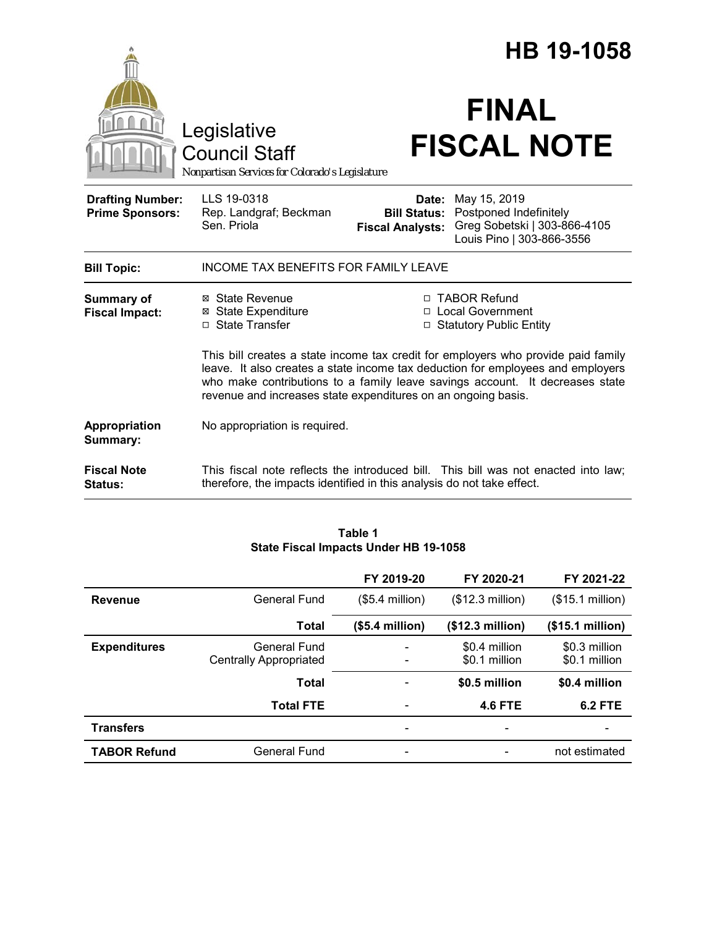|                                                   |                                                                                                                                                                                                                                                                                                                       | HB 19-1058                                                        |                                                                                                                         |  |
|---------------------------------------------------|-----------------------------------------------------------------------------------------------------------------------------------------------------------------------------------------------------------------------------------------------------------------------------------------------------------------------|-------------------------------------------------------------------|-------------------------------------------------------------------------------------------------------------------------|--|
|                                                   | Legislative<br><b>Council Staff</b><br>Nonpartisan Services for Colorado's Legislature                                                                                                                                                                                                                                |                                                                   | <b>FINAL</b><br><b>FISCAL NOTE</b>                                                                                      |  |
| <b>Drafting Number:</b><br><b>Prime Sponsors:</b> | LLS 19-0318<br>Rep. Landgraf; Beckman<br>Sen. Priola                                                                                                                                                                                                                                                                  | Date:<br><b>Fiscal Analysts:</b>                                  | May 15, 2019<br><b>Bill Status: Postponed Indefinitely</b><br>Greg Sobetski   303-866-4105<br>Louis Pino   303-866-3556 |  |
| <b>Bill Topic:</b>                                | <b>INCOME TAX BENEFITS FOR FAMILY LEAVE</b>                                                                                                                                                                                                                                                                           |                                                                   |                                                                                                                         |  |
| <b>Summary of</b><br><b>Fiscal Impact:</b>        | ⊠ State Revenue<br><b>⊠ State Expenditure</b><br>□ State Transfer                                                                                                                                                                                                                                                     | □ TABOR Refund<br>□ Local Government<br>□ Statutory Public Entity |                                                                                                                         |  |
|                                                   | This bill creates a state income tax credit for employers who provide paid family<br>leave. It also creates a state income tax deduction for employees and employers<br>who make contributions to a family leave savings account. It decreases state<br>revenue and increases state expenditures on an ongoing basis. |                                                                   |                                                                                                                         |  |
| Appropriation<br>Summary:                         | No appropriation is required.                                                                                                                                                                                                                                                                                         |                                                                   |                                                                                                                         |  |
| <b>Fiscal Note</b><br><b>Status:</b>              | therefore, the impacts identified in this analysis do not take effect.                                                                                                                                                                                                                                                |                                                                   | This fiscal note reflects the introduced bill. This bill was not enacted into law;                                      |  |

#### **Table 1 State Fiscal Impacts Under HB 19-1058**

|                     |                                                      | FY 2019-20       | FY 2020-21                     | FY 2021-22                     |
|---------------------|------------------------------------------------------|------------------|--------------------------------|--------------------------------|
| <b>Revenue</b>      | <b>General Fund</b>                                  | $($5.4$ million) | $($12.3$ million)              | (\$15.1 million)               |
|                     | <b>Total</b>                                         | (\$5.4 million)  | (\$12.3 million)               | (\$15.1 million)               |
| <b>Expenditures</b> | <b>General Fund</b><br><b>Centrally Appropriated</b> |                  | \$0.4 million<br>\$0.1 million | \$0.3 million<br>\$0.1 million |
|                     | <b>Total</b>                                         |                  | \$0.5 million                  | \$0.4 million                  |
|                     | <b>Total FTE</b>                                     |                  | <b>4.6 FTE</b>                 | <b>6.2 FTE</b>                 |
| <b>Transfers</b>    |                                                      | $\blacksquare$   | $\qquad \qquad \blacksquare$   |                                |
| <b>TABOR Refund</b> | <b>General Fund</b>                                  |                  |                                | not estimated                  |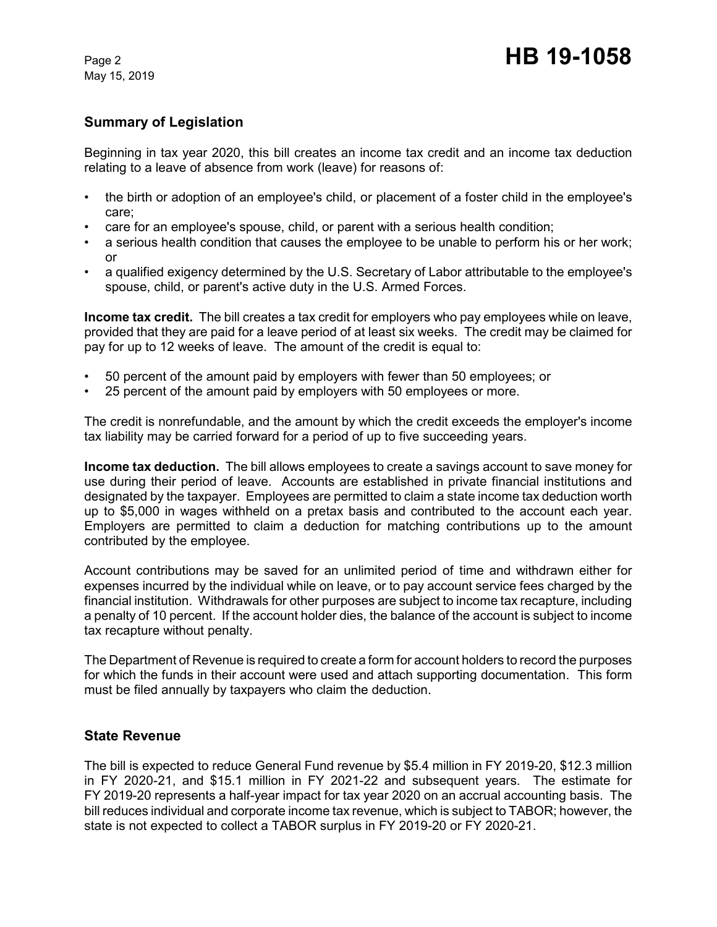## **Summary of Legislation**

Beginning in tax year 2020, this bill creates an income tax credit and an income tax deduction relating to a leave of absence from work (leave) for reasons of:

- the birth or adoption of an employee's child, or placement of a foster child in the employee's care;
- care for an employee's spouse, child, or parent with a serious health condition;
- a serious health condition that causes the employee to be unable to perform his or her work; or
- a qualified exigency determined by the U.S. Secretary of Labor attributable to the employee's spouse, child, or parent's active duty in the U.S. Armed Forces.

**Income tax credit.** The bill creates a tax credit for employers who pay employees while on leave, provided that they are paid for a leave period of at least six weeks. The credit may be claimed for pay for up to 12 weeks of leave. The amount of the credit is equal to:

- 50 percent of the amount paid by employers with fewer than 50 employees; or
- 25 percent of the amount paid by employers with 50 employees or more.

The credit is nonrefundable, and the amount by which the credit exceeds the employer's income tax liability may be carried forward for a period of up to five succeeding years.

**Income tax deduction.** The bill allows employees to create a savings account to save money for use during their period of leave. Accounts are established in private financial institutions and designated by the taxpayer. Employees are permitted to claim a state income tax deduction worth up to \$5,000 in wages withheld on a pretax basis and contributed to the account each year. Employers are permitted to claim a deduction for matching contributions up to the amount contributed by the employee.

Account contributions may be saved for an unlimited period of time and withdrawn either for expenses incurred by the individual while on leave, or to pay account service fees charged by the financial institution. Withdrawals for other purposes are subject to income tax recapture, including a penalty of 10 percent. If the account holder dies, the balance of the account is subject to income tax recapture without penalty.

The Department of Revenue is required to create a form for account holders to record the purposes for which the funds in their account were used and attach supporting documentation. This form must be filed annually by taxpayers who claim the deduction.

### **State Revenue**

The bill is expected to reduce General Fund revenue by \$5.4 million in FY 2019-20, \$12.3 million in FY 2020-21, and \$15.1 million in FY 2021-22 and subsequent years. The estimate for FY 2019-20 represents a half-year impact for tax year 2020 on an accrual accounting basis. The bill reduces individual and corporate income tax revenue, which is subject to TABOR; however, the state is not expected to collect a TABOR surplus in FY 2019-20 or FY 2020-21.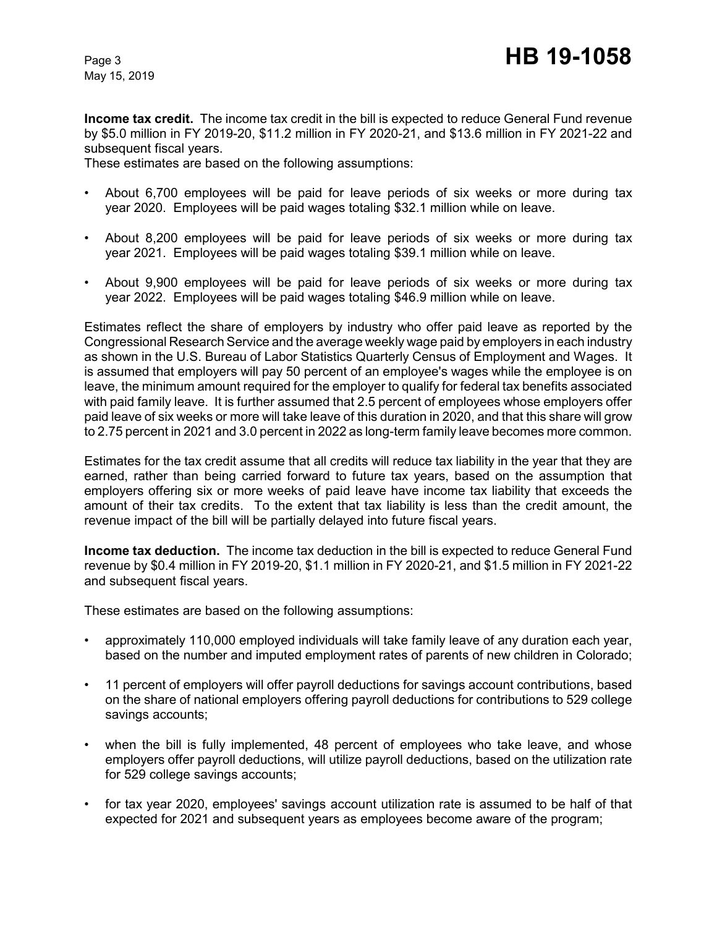**Income tax credit.** The income tax credit in the bill is expected to reduce General Fund revenue by \$5.0 million in FY 2019-20, \$11.2 million in FY 2020-21, and \$13.6 million in FY 2021-22 and subsequent fiscal years.

These estimates are based on the following assumptions:

- About 6,700 employees will be paid for leave periods of six weeks or more during tax year 2020. Employees will be paid wages totaling \$32.1 million while on leave.
- About 8,200 employees will be paid for leave periods of six weeks or more during tax year 2021. Employees will be paid wages totaling \$39.1 million while on leave.
- About 9,900 employees will be paid for leave periods of six weeks or more during tax year 2022. Employees will be paid wages totaling \$46.9 million while on leave.

Estimates reflect the share of employers by industry who offer paid leave as reported by the Congressional Research Service and the average weekly wage paid by employers in each industry as shown in the U.S. Bureau of Labor Statistics Quarterly Census of Employment and Wages. It is assumed that employers will pay 50 percent of an employee's wages while the employee is on leave, the minimum amount required for the employer to qualify for federal tax benefits associated with paid family leave. It is further assumed that 2.5 percent of employees whose employers offer paid leave of six weeks or more will take leave of this duration in 2020, and that this share will grow to 2.75 percent in 2021 and 3.0 percent in 2022 as long-term family leave becomes more common.

Estimates for the tax credit assume that all credits will reduce tax liability in the year that they are earned, rather than being carried forward to future tax years, based on the assumption that employers offering six or more weeks of paid leave have income tax liability that exceeds the amount of their tax credits. To the extent that tax liability is less than the credit amount, the revenue impact of the bill will be partially delayed into future fiscal years.

**Income tax deduction.** The income tax deduction in the bill is expected to reduce General Fund revenue by \$0.4 million in FY 2019-20, \$1.1 million in FY 2020-21, and \$1.5 million in FY 2021-22 and subsequent fiscal years.

These estimates are based on the following assumptions:

- approximately 110,000 employed individuals will take family leave of any duration each year, based on the number and imputed employment rates of parents of new children in Colorado;
- 11 percent of employers will offer payroll deductions for savings account contributions, based on the share of national employers offering payroll deductions for contributions to 529 college savings accounts;
- when the bill is fully implemented, 48 percent of employees who take leave, and whose employers offer payroll deductions, will utilize payroll deductions, based on the utilization rate for 529 college savings accounts;
- for tax year 2020, employees' savings account utilization rate is assumed to be half of that expected for 2021 and subsequent years as employees become aware of the program;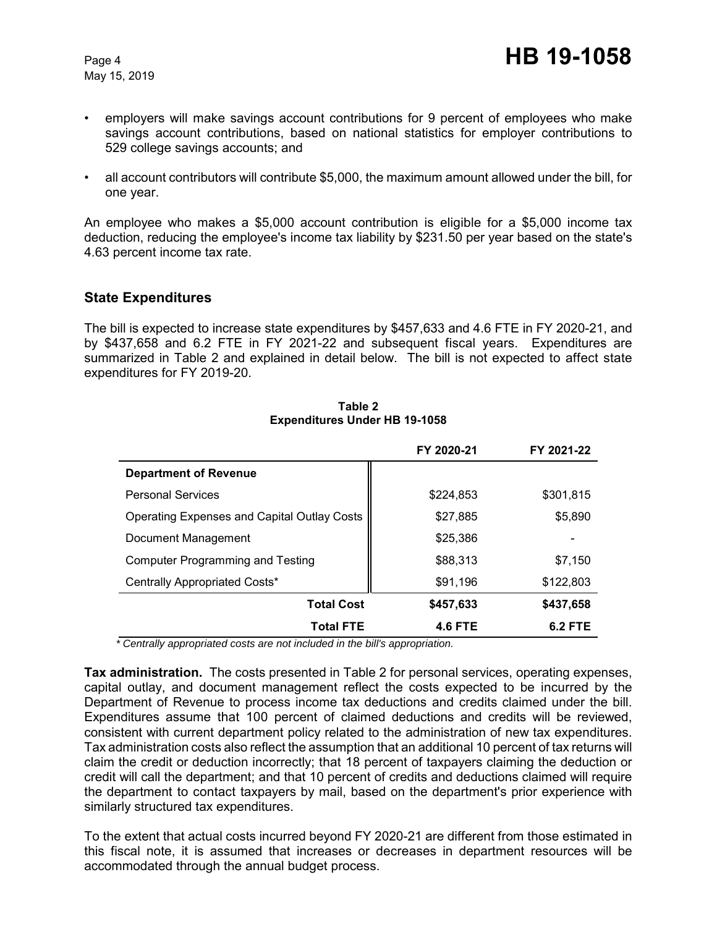- employers will make savings account contributions for 9 percent of employees who make savings account contributions, based on national statistics for employer contributions to 529 college savings accounts; and
- all account contributors will contribute \$5,000, the maximum amount allowed under the bill, for one year.

An employee who makes a \$5,000 account contribution is eligible for a \$5,000 income tax deduction, reducing the employee's income tax liability by \$231.50 per year based on the state's 4.63 percent income tax rate.

### **State Expenditures**

The bill is expected to increase state expenditures by \$457,633 and 4.6 FTE in FY 2020-21, and by \$437,658 and 6.2 FTE in FY 2021-22 and subsequent fiscal years. Expenditures are summarized in Table 2 and explained in detail below. The bill is not expected to affect state expenditures for FY 2019-20.

|                                             | FY 2020-21     | FY 2021-22     |
|---------------------------------------------|----------------|----------------|
| <b>Department of Revenue</b>                |                |                |
| <b>Personal Services</b>                    | \$224,853      | \$301,815      |
| Operating Expenses and Capital Outlay Costs | \$27,885       | \$5,890        |
| Document Management                         | \$25,386       |                |
| <b>Computer Programming and Testing</b>     | \$88,313       | \$7,150        |
| Centrally Appropriated Costs*               | \$91,196       | \$122,803      |
| <b>Total Cost</b>                           | \$457,633      | \$437,658      |
| <b>Total FTE</b>                            | <b>4.6 FTE</b> | <b>6.2 FTE</b> |

**Table 2 Expenditures Under HB 19-1058**

 *\* Centrally appropriated costs are not included in the bill's appropriation.*

**Tax administration.** The costs presented in Table 2 for personal services, operating expenses, capital outlay, and document management reflect the costs expected to be incurred by the Department of Revenue to process income tax deductions and credits claimed under the bill. Expenditures assume that 100 percent of claimed deductions and credits will be reviewed, consistent with current department policy related to the administration of new tax expenditures. Tax administration costs also reflect the assumption that an additional 10 percent of tax returns will claim the credit or deduction incorrectly; that 18 percent of taxpayers claiming the deduction or credit will call the department; and that 10 percent of credits and deductions claimed will require the department to contact taxpayers by mail, based on the department's prior experience with similarly structured tax expenditures.

To the extent that actual costs incurred beyond FY 2020-21 are different from those estimated in this fiscal note, it is assumed that increases or decreases in department resources will be accommodated through the annual budget process.